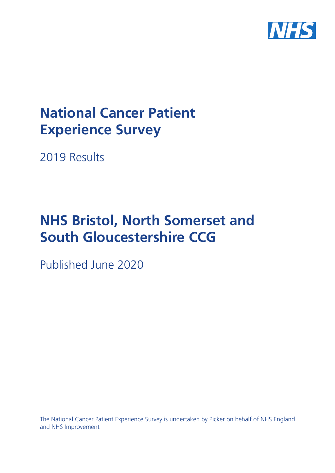

# **National Cancer Patient Experience Survey**

2019 Results

# **NHS Bristol, North Somerset and South Gloucestershire CCG**

Published June 2020

The National Cancer Patient Experience Survey is undertaken by Picker on behalf of NHS England and NHS Improvement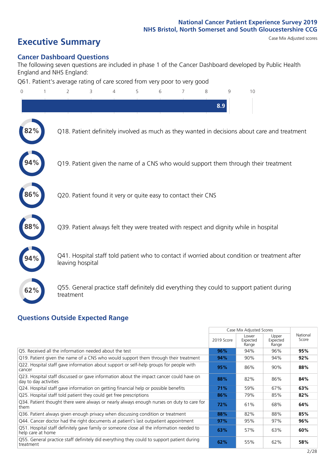# **Executive Summary** Case Mix Adjusted scores

#### **Cancer Dashboard Questions**

The following seven questions are included in phase 1 of the Cancer Dashboard developed by Public Health England and NHS England:

Q61. Patient's average rating of care scored from very poor to very good

| 0   | 2                                                             | 3 | 5 |  | 8 | q   | 10                                                                                            |  |
|-----|---------------------------------------------------------------|---|---|--|---|-----|-----------------------------------------------------------------------------------------------|--|
|     |                                                               |   |   |  |   | 8.9 |                                                                                               |  |
|     |                                                               |   |   |  |   |     | Q18. Patient definitely involved as much as they wanted in decisions about care and treatment |  |
| 94% |                                                               |   |   |  |   |     | Q19. Patient given the name of a CNS who would support them through their treatment           |  |
| 86% | Q20. Patient found it very or quite easy to contact their CNS |   |   |  |   |     |                                                                                               |  |
|     |                                                               |   |   |  |   |     | Q39. Patient always felt they were treated with respect and dignity while in hospital         |  |
|     | leaving hospital                                              |   |   |  |   |     | Q41. Hospital staff told patient who to contact if worried about condition or treatment after |  |
| 62% | treatment                                                     |   |   |  |   |     | Q55. General practice staff definitely did everything they could to support patient during    |  |
|     | Questians Qutside Expected Pange                              |   |   |  |   |     |                                                                                               |  |

#### **Questions Outside Expected Range**

|                                                                                                                  |            | Case Mix Adjusted Scores   |                            |                   |  |
|------------------------------------------------------------------------------------------------------------------|------------|----------------------------|----------------------------|-------------------|--|
|                                                                                                                  | 2019 Score | Lower<br>Expected<br>Range | Upper<br>Expected<br>Range | National<br>Score |  |
| Q5. Received all the information needed about the test                                                           | 96%        | 94%                        | 96%                        | 95%               |  |
| Q19. Patient given the name of a CNS who would support them through their treatment                              | 94%        | 90%                        | 94%                        | 92%               |  |
| Q22. Hospital staff gave information about support or self-help groups for people with<br>cancer                 | 95%        | 86%                        | 90%                        | 88%               |  |
| Q23. Hospital staff discussed or gave information about the impact cancer could have on<br>day to day activities | 88%        | 82%                        | 86%                        | 84%               |  |
| Q24. Hospital staff gave information on getting financial help or possible benefits                              | 71%        | 59%                        | 67%                        | 63%               |  |
| Q25. Hospital staff told patient they could get free prescriptions                                               | 86%        | 79%                        | 85%                        | 82%               |  |
| Q34. Patient thought there were always or nearly always enough nurses on duty to care for<br>them                | 72%        | 61%                        | 68%                        | 64%               |  |
| Q36. Patient always given enough privacy when discussing condition or treatment                                  | 88%        | 82%                        | 88%                        | 85%               |  |
| Q44. Cancer doctor had the right documents at patient's last outpatient appointment                              | 97%        | 95%                        | 97%                        | 96%               |  |
| Q51. Hospital staff definitely gave family or someone close all the information needed to<br>help care at home   | 63%        | 57%                        | 63%                        | 60%               |  |
| Q55. General practice staff definitely did everything they could to support patient during<br>treatment          | 62%        | 55%                        | 62%                        | 58%               |  |
|                                                                                                                  |            |                            |                            |                   |  |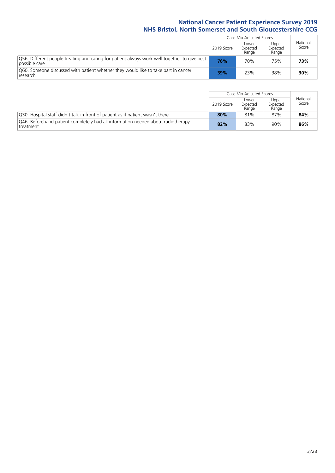|                                                                                                               |            | Case Mix Adjusted Scores   |                                          |                   |  |
|---------------------------------------------------------------------------------------------------------------|------------|----------------------------|------------------------------------------|-------------------|--|
|                                                                                                               | 2019 Score | Lower<br>Expected<br>Range | Upper<br>Expected<br>Range<br>75%<br>38% | National<br>Score |  |
| Q56. Different people treating and caring for patient always work well together to give best<br>possible care | 76%        | 70%                        |                                          | 73%               |  |
| O60. Someone discussed with patient whether they would like to take part in cancer<br>research                | 39%        | 23%                        |                                          | 30%               |  |

|                                                                                               |            | Case Mix Adjusted Scores   |                            |                   |
|-----------------------------------------------------------------------------------------------|------------|----------------------------|----------------------------|-------------------|
|                                                                                               | 2019 Score | Lower<br>Expected<br>Range | Upper<br>Expected<br>Range | National<br>Score |
| Q30. Hospital staff didn't talk in front of patient as if patient wasn't there                | 80%        | 81%                        | 87%                        | 84%               |
| Q46. Beforehand patient completely had all information needed about radiotherapy<br>treatment | 82%        | 83%                        | 90%                        | 86%               |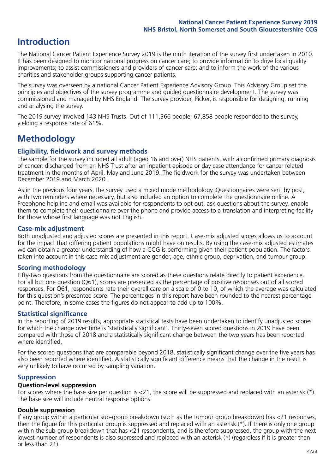## **Introduction**

The National Cancer Patient Experience Survey 2019 is the ninth iteration of the survey first undertaken in 2010. It has been designed to monitor national progress on cancer care; to provide information to drive local quality improvements; to assist commissioners and providers of cancer care; and to inform the work of the various charities and stakeholder groups supporting cancer patients.

The survey was overseen by a national Cancer Patient Experience Advisory Group. This Advisory Group set the principles and objectives of the survey programme and guided questionnaire development. The survey was commissioned and managed by NHS England. The survey provider, Picker, is responsible for designing, running and analysing the survey.

The 2019 survey involved 143 NHS Trusts. Out of 111,366 people, 67,858 people responded to the survey, yielding a response rate of 61%.

# **Methodology**

#### **Eligibility, fieldwork and survey methods**

The sample for the survey included all adult (aged 16 and over) NHS patients, with a confirmed primary diagnosis of cancer, discharged from an NHS Trust after an inpatient episode or day case attendance for cancer related treatment in the months of April, May and June 2019. The fieldwork for the survey was undertaken between December 2019 and March 2020.

As in the previous four years, the survey used a mixed mode methodology. Questionnaires were sent by post, with two reminders where necessary, but also included an option to complete the questionnaire online. A Freephone helpline and email was available for respondents to opt out, ask questions about the survey, enable them to complete their questionnaire over the phone and provide access to a translation and interpreting facility for those whose first language was not English.

#### **Case-mix adjustment**

Both unadjusted and adjusted scores are presented in this report. Case-mix adjusted scores allows us to account for the impact that differing patient populations might have on results. By using the case-mix adjusted estimates we can obtain a greater understanding of how a CCG is performing given their patient population. The factors taken into account in this case-mix adjustment are gender, age, ethnic group, deprivation, and tumour group.

#### **Scoring methodology**

Fifty-two questions from the questionnaire are scored as these questions relate directly to patient experience. For all but one question (Q61), scores are presented as the percentage of positive responses out of all scored responses. For Q61, respondents rate their overall care on a scale of 0 to 10, of which the average was calculated for this question's presented score. The percentages in this report have been rounded to the nearest percentage point. Therefore, in some cases the figures do not appear to add up to 100%.

#### **Statistical significance**

In the reporting of 2019 results, appropriate statistical tests have been undertaken to identify unadjusted scores for which the change over time is 'statistically significant'. Thirty-seven scored questions in 2019 have been compared with those of 2018 and a statistically significant change between the two years has been reported where identified.

For the scored questions that are comparable beyond 2018, statistically significant change over the five years has also been reported where identified. A statistically significant difference means that the change in the result is very unlikely to have occurred by sampling variation.

#### **Suppression**

#### **Question-level suppression**

For scores where the base size per question is  $<$ 21, the score will be suppressed and replaced with an asterisk (\*). The base size will include neutral response options.

#### **Double suppression**

If any group within a particular sub-group breakdown (such as the tumour group breakdown) has <21 responses, then the figure for this particular group is suppressed and replaced with an asterisk (\*). If there is only one group within the sub-group breakdown that has <21 respondents, and is therefore suppressed, the group with the next lowest number of respondents is also supressed and replaced with an asterisk (\*) (regardless if it is greater than or less than 21).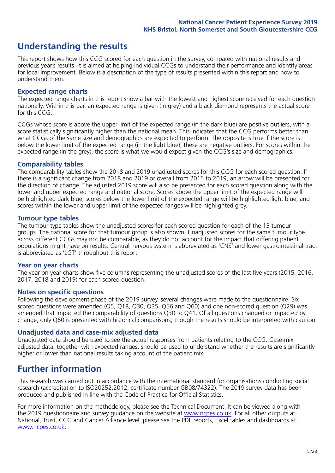### **Understanding the results**

This report shows how this CCG scored for each question in the survey, compared with national results and previous year's results. It is aimed at helping individual CCGs to understand their performance and identify areas for local improvement. Below is a description of the type of results presented within this report and how to understand them.

#### **Expected range charts**

The expected range charts in this report show a bar with the lowest and highest score received for each question nationally. Within this bar, an expected range is given (in grey) and a black diamond represents the actual score for this CCG.

CCGs whose score is above the upper limit of the expected range (in the dark blue) are positive outliers, with a score statistically significantly higher than the national mean. This indicates that the CCG performs better than what CCGs of the same size and demographics are expected to perform. The opposite is true if the score is below the lower limit of the expected range (in the light blue); these are negative outliers. For scores within the expected range (in the grey), the score is what we would expect given the CCG's size and demographics.

#### **Comparability tables**

The comparability tables show the 2018 and 2019 unadjusted scores for this CCG for each scored question. If there is a significant change from 2018 and 2019 or overall from 2015 to 2019, an arrow will be presented for the direction of change. The adjusted 2019 score will also be presented for each scored question along with the lower and upper expected range and national score. Scores above the upper limit of the expected range will be highlighted dark blue, scores below the lower limit of the expected range will be highlighted light blue, and scores within the lower and upper limit of the expected ranges will be highlighted grey.

#### **Tumour type tables**

The tumour type tables show the unadjusted scores for each scored question for each of the 13 tumour groups. The national score for that tumour group is also shown. Unadjusted scores for the same tumour type across different CCGs may not be comparable, as they do not account for the impact that differing patient populations might have on results. Central nervous system is abbreviated as 'CNS' and lower gastrointestinal tract is abbreviated as 'LGT' throughout this report.

#### **Year on year charts**

The year on year charts show five columns representing the unadjusted scores of the last five years (2015, 2016, 2017, 2018 and 2019) for each scored question.

#### **Notes on specific questions**

Following the development phase of the 2019 survey, several changes were made to the questionnaire. Six scored questions were amended (Q5, Q18, Q30, Q35, Q56 and Q60) and one non-scored question (Q29) was amended that impacted the comparability of questions Q30 to Q41. Of all questions changed or impacted by change, only Q60 is presented with historical comparisons; though the results should be interpreted with caution.

#### **Unadjusted data and case-mix adjusted data**

Unadjusted data should be used to see the actual responses from patients relating to the CCG. Case-mix adjusted data, together with expected ranges, should be used to understand whether the results are significantly higher or lower than national results taking account of the patient mix.

### **Further information**

This research was carried out in accordance with the international standard for organisations conducting social research (accreditation to ISO20252:2012; certificate number GB08/74322). The 2019 survey data has been produced and published in line with the Code of Practice for Official Statistics.

For more information on the methodology, please see the Technical Document. It can be viewed along with the 2019 questionnaire and survey quidance on the website at [www.ncpes.co.uk](https://www.ncpes.co.uk/supporting-documents). For all other outputs at National, Trust, CCG and Cancer Alliance level, please see the PDF reports, Excel tables and dashboards at [www.ncpes.co.uk.](https://www.ncpes.co.uk/current-results)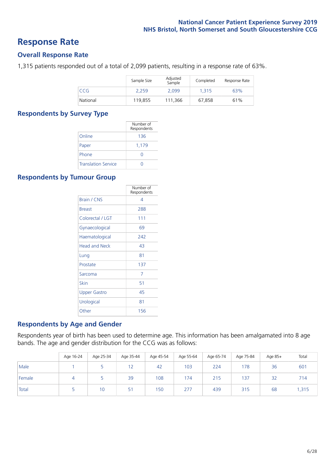### **Response Rate**

#### **Overall Response Rate**

1,315 patients responded out of a total of 2,099 patients, resulting in a response rate of 63%.

|          | Sample Size | Adjusted<br>Sample | Completed | Response Rate |
|----------|-------------|--------------------|-----------|---------------|
| CCG      | 2.259       | 2.099              | 1.315     | 63%           |
| National | 119,855     | 111.366            | 67,858    | 61%           |

#### **Respondents by Survey Type**

|                            | Number of<br>Respondents |
|----------------------------|--------------------------|
| Online                     | 136                      |
| Paper                      | 1,179                    |
| Phone                      | $\left( \right)$         |
| <b>Translation Service</b> |                          |

#### **Respondents by Tumour Group**

|                      | Number of<br>Respondents |
|----------------------|--------------------------|
| Brain / CNS          | 4                        |
| <b>Breast</b>        | 288                      |
| Colorectal / LGT     | 111                      |
| Gynaecological       | 69                       |
| Haematological       | 242                      |
| <b>Head and Neck</b> | 43                       |
| Lung                 | 81                       |
| Prostate             | 137                      |
| Sarcoma              | 7                        |
| Skin                 | 51                       |
| Upper Gastro         | 45                       |
| Urological           | 81                       |
| Other                | 156                      |

#### **Respondents by Age and Gender**

Respondents year of birth has been used to determine age. This information has been amalgamated into 8 age bands. The age and gender distribution for the CCG was as follows:

|        | Age 16-24 | Age 25-34 | Age 35-44 | Age 45-54 | Age 55-64 | Age 65-74 | Age 75-84 | Age $85+$ | Total |
|--------|-----------|-----------|-----------|-----------|-----------|-----------|-----------|-----------|-------|
| Male   |           |           | 12        | 42        | 103       | 224       | 78        | 36        | 601   |
| Female | 4         |           | 39        | 108       | 174       | 215       | 137       | 32        | 714   |
| Total  |           | 10        | 51        | 150       | 277       | 439       | 315       | 68        | i,315 |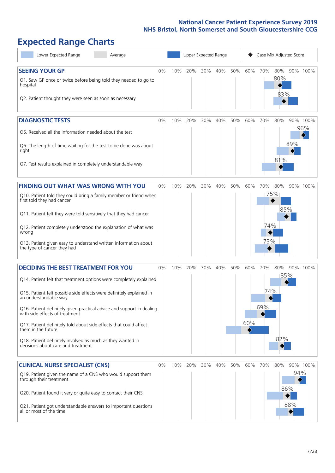# **Expected Range Charts**

| Lower Expected Range<br>Average                                                                                                 | Upper Expected Range<br>Case Mix Adjusted Score |     |     |     |     |     |     |     |                   |            |                 |
|---------------------------------------------------------------------------------------------------------------------------------|-------------------------------------------------|-----|-----|-----|-----|-----|-----|-----|-------------------|------------|-----------------|
| <b>SEEING YOUR GP</b><br>Q1. Saw GP once or twice before being told they needed to go to<br>hospital                            | 0%                                              | 10% | 20% | 30% | 40% | 50% | 60% | 70% | 80%<br>80%<br>83% |            | 90% 100%        |
| Q2. Patient thought they were seen as soon as necessary                                                                         |                                                 |     |     |     |     |     |     |     |                   |            |                 |
| <b>DIAGNOSTIC TESTS</b>                                                                                                         | 0%                                              | 10% | 20% | 30% | 40% | 50% | 60% | 70% | 80%               |            | 90% 100%<br>96% |
| Q5. Received all the information needed about the test                                                                          |                                                 |     |     |     |     |     |     |     |                   |            |                 |
| Q6. The length of time waiting for the test to be done was about<br>right                                                       |                                                 |     |     |     |     |     |     |     | 81%               | 89%        |                 |
| Q7. Test results explained in completely understandable way                                                                     |                                                 |     |     |     |     |     |     |     |                   |            |                 |
| <b>FINDING OUT WHAT WAS WRONG WITH YOU</b>                                                                                      | 0%                                              | 10% | 20% | 30% | 40% | 50% | 60% | 70% | 80%               |            | 90% 100%        |
| Q10. Patient told they could bring a family member or friend when<br>first told they had cancer                                 |                                                 |     |     |     |     |     |     |     | 75%               |            |                 |
| Q11. Patient felt they were told sensitively that they had cancer                                                               |                                                 |     |     |     |     |     |     |     | 85%               |            |                 |
| Q12. Patient completely understood the explanation of what was<br>wrong                                                         |                                                 |     |     |     |     |     |     | 74% |                   |            |                 |
| Q13. Patient given easy to understand written information about<br>the type of cancer they had                                  |                                                 |     |     |     |     |     |     | 73% |                   |            |                 |
| <b>DECIDING THE BEST TREATMENT FOR YOU</b>                                                                                      | 0%                                              | 10% | 20% | 30% | 40% | 50% | 60% | 70% | 80%               |            | 90% 100%        |
| Q14. Patient felt that treatment options were completely explained                                                              |                                                 |     |     |     |     |     |     |     |                   | 85%        |                 |
| Q15. Patient felt possible side effects were definitely explained in<br>an understandable way                                   |                                                 |     |     |     |     |     |     | 74% |                   |            |                 |
| Q16. Patient definitely given practical advice and support in dealing<br>with side effects of treatment                         |                                                 |     |     |     |     |     |     | 69% |                   |            |                 |
| Q17. Patient definitely told about side effects that could affect<br>them in the future                                         |                                                 |     |     |     |     |     | 60% |     |                   |            |                 |
| Q18. Patient definitely involved as much as they wanted in<br>decisions about care and treatment                                |                                                 |     |     |     |     |     |     |     | 82%               |            |                 |
| <b>CLINICAL NURSE SPECIALIST (CNS)</b>                                                                                          | 0%                                              | 10% | 20% | 30% | 40% | 50% | 60% | 70% | 80%               |            | 90% 100%        |
| Q19. Patient given the name of a CNS who would support them<br>through their treatment                                          |                                                 |     |     |     |     |     |     |     |                   | 94%<br>86% |                 |
| Q20. Patient found it very or quite easy to contact their CNS<br>Q21. Patient got understandable answers to important questions |                                                 |     |     |     |     |     |     |     |                   | 88%        |                 |
| all or most of the time                                                                                                         |                                                 |     |     |     |     |     |     |     |                   |            |                 |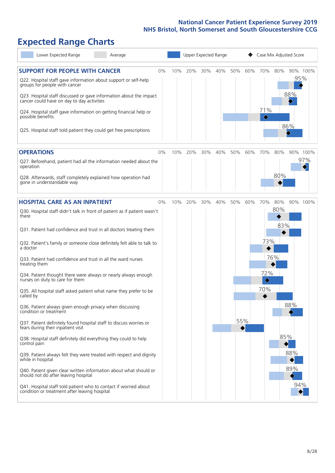# **Expected Range Charts**

| Lower Expected Range<br>Average                                                                                                                                                                                                                                                                                                                                                                                                                                                                                                                                                                                                                                                                                                                                                                                                                                                                                                                                                                                                                                                                                                                                                         | Upper Expected Range<br>Case Mix Adjusted Score                                                                                                                    |
|-----------------------------------------------------------------------------------------------------------------------------------------------------------------------------------------------------------------------------------------------------------------------------------------------------------------------------------------------------------------------------------------------------------------------------------------------------------------------------------------------------------------------------------------------------------------------------------------------------------------------------------------------------------------------------------------------------------------------------------------------------------------------------------------------------------------------------------------------------------------------------------------------------------------------------------------------------------------------------------------------------------------------------------------------------------------------------------------------------------------------------------------------------------------------------------------|--------------------------------------------------------------------------------------------------------------------------------------------------------------------|
| <b>SUPPORT FOR PEOPLE WITH CANCER</b><br>0%<br>Q22. Hospital staff gave information about support or self-help<br>groups for people with cancer<br>Q23. Hospital staff discussed or gave information about the impact<br>cancer could have on day to day activities<br>Q24. Hospital staff gave information on getting financial help or<br>possible benefits<br>Q25. Hospital staff told patient they could get free prescriptions                                                                                                                                                                                                                                                                                                                                                                                                                                                                                                                                                                                                                                                                                                                                                     | 10%<br>20%<br>30%<br>40%<br>50%<br>60%<br>70%<br>80%<br>90% 100%<br>95%<br>88%<br>71%<br>◇<br>86%                                                                  |
| <b>OPERATIONS</b><br>0%<br>Q27. Beforehand, patient had all the information needed about the<br>operation<br>Q28. Afterwards, staff completely explained how operation had<br>gone in understandable way                                                                                                                                                                                                                                                                                                                                                                                                                                                                                                                                                                                                                                                                                                                                                                                                                                                                                                                                                                                | 10%<br>20%<br>30%<br>40%<br>50%<br>60%<br>70%<br>80%<br>90% 100%<br>97%<br>80%                                                                                     |
| <b>HOSPITAL CARE AS AN INPATIENT</b><br>0%<br>Q30. Hospital staff didn't talk in front of patient as if patient wasn't<br>there<br>Q31. Patient had confidence and trust in all doctors treating them<br>Q32. Patient's family or someone close definitely felt able to talk to<br>a doctor<br>Q33. Patient had confidence and trust in all the ward nurses<br>treating them<br>Q34. Patient thought there were always or nearly always enough<br>nurses on duty to care for them<br>Q35. All hospital staff asked patient what name they prefer to be<br>called by<br>Q36. Patient always given enough privacy when discussing<br>condition or treatment<br>Q37. Patient definitely found hospital staff to discuss worries or<br>fears during their inpatient visit<br>Q38. Hospital staff definitely did everything they could to help<br>control pain<br>Q39. Patient always felt they were treated with respect and dignity<br>while in hospital<br>Q40. Patient given clear written information about what should or<br>should not do after leaving hospital<br>Q41. Hospital staff told patient who to contact if worried about<br>condition or treatment after leaving hospital | 10%<br>20%<br>30%<br>40%<br>50%<br>60%<br>70%<br>80%<br>90% 100%<br>80%<br>83%<br>73%<br>76%<br>72%<br>$\Diamond$<br>70%<br>88%<br>55%<br>85%<br>88%<br>89%<br>94% |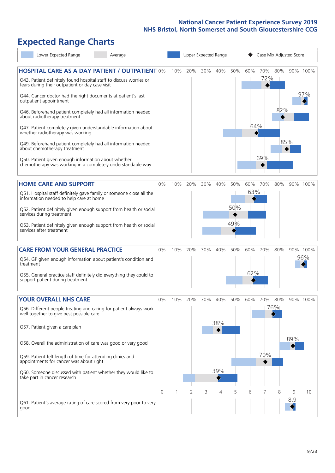# **Expected Range Charts**

| Lower Expected Range<br>Average                                                                                             |       |     |                |     | Upper Expected Range |     | Case Mix Adjusted Score |            |     |     |          |
|-----------------------------------------------------------------------------------------------------------------------------|-------|-----|----------------|-----|----------------------|-----|-------------------------|------------|-----|-----|----------|
| <b>HOSPITAL CARE AS A DAY PATIENT / OUTPATIENT 0%</b><br>Q43. Patient definitely found hospital staff to discuss worries or |       | 10% | 20%            | 30% | 40%                  | 50% | 60%                     | 70%<br>72% | 80% |     | 90% 100% |
| fears during their outpatient or day case visit<br>Q44. Cancer doctor had the right documents at patient's last             |       |     |                |     |                      |     |                         |            |     |     | 97%      |
| outpatient appointment<br>Q46. Beforehand patient completely had all information needed<br>about radiotherapy treatment     |       |     |                |     |                      |     |                         |            | 82% |     |          |
| Q47. Patient completely given understandable information about<br>whether radiotherapy was working                          |       |     |                |     |                      |     | 64%                     |            |     |     |          |
| Q49. Beforehand patient completely had all information needed<br>about chemotherapy treatment                               |       |     |                |     |                      |     |                         |            |     | 85% |          |
| Q50. Patient given enough information about whether<br>chemotherapy was working in a completely understandable way          |       |     |                |     |                      |     |                         | 69%        |     |     |          |
| <b>HOME CARE AND SUPPORT</b>                                                                                                | 0%    | 10% | 20%            | 30% | 40%                  | 50% | 60%                     | 70%        | 80% |     | 90% 100% |
| Q51. Hospital staff definitely gave family or someone close all the<br>information needed to help care at home              |       |     |                |     |                      |     | 63%                     |            |     |     |          |
| Q52. Patient definitely given enough support from health or social<br>services during treatment                             |       |     |                |     |                      | 50% |                         |            |     |     |          |
| Q53. Patient definitely given enough support from health or social<br>services after treatment                              |       |     |                |     |                      | 49% |                         |            |     |     |          |
| <b>CARE FROM YOUR GENERAL PRACTICE</b>                                                                                      | 0%    | 10% | 20%            | 30% | 40%                  | 50% | 60%                     | 70%        | 80% |     | 90% 100% |
| Q54. GP given enough information about patient's condition and<br>treatment                                                 |       |     |                |     |                      |     |                         |            |     |     | 96%      |
| Q55. General practice staff definitely did everything they could to<br>support patient during treatment                     |       |     |                |     |                      |     | 62%                     |            |     |     |          |
| <b>YOUR OVERALL NHS CARE</b>                                                                                                | $0\%$ | 10% | 20%            | 30% | 40%                  | 50% | 60%                     | 70%        | 80% |     | 90% 100% |
| Q56. Different people treating and caring for patient always work<br>well together to give best possible care               |       |     |                |     |                      |     |                         |            | 76% |     |          |
| Q57. Patient given a care plan                                                                                              |       |     |                |     | 38%                  |     |                         |            |     |     |          |
| Q58. Overall the administration of care was good or very good                                                               |       |     |                |     |                      |     |                         |            |     | 89% |          |
| Q59. Patient felt length of time for attending clinics and<br>appointments for cancer was about right                       |       |     |                |     |                      |     |                         | 70%        |     |     |          |
| Q60. Someone discussed with patient whether they would like to<br>take part in cancer research                              |       |     |                |     | 39%                  |     |                         |            |     |     |          |
|                                                                                                                             | 0     |     | $\overline{2}$ | 3   | 4                    | 5   | 6                       | 7          | 8   | 9   | 10       |
| Q61. Patient's average rating of care scored from very poor to very<br>good                                                 |       |     |                |     |                      |     |                         |            |     | 8.9 |          |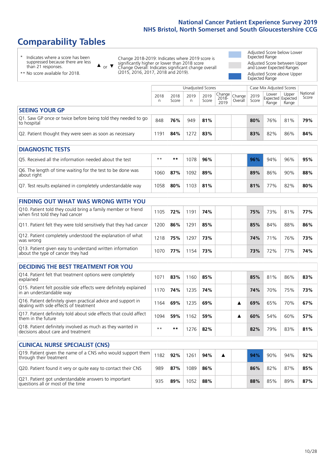# **Comparability Tables**

\* Indicates where a score has been suppressed because there are less than 21 responses.

\*\* No score available for 2018.

 $\triangle$  or  $\nabla$ 

Change 2018-2019: Indicates where 2019 score is significantly higher or lower than 2018 score Change Overall: Indicates significant change overall (2015, 2016, 2017, 2018 and 2019).

Adjusted Score below Lower Expected Range Adjusted Score between Upper and Lower Expected Ranges Adjusted Score above Upper Expected Range

|                                                                             | Case Mix Adjusted Scores<br>Unadjusted Scores |               |           |               |                                                    |         |               |                                            |                |                   |
|-----------------------------------------------------------------------------|-----------------------------------------------|---------------|-----------|---------------|----------------------------------------------------|---------|---------------|--------------------------------------------|----------------|-------------------|
|                                                                             | 2018<br>n                                     | 2018<br>Score | 2019<br>n | 2019<br>Score | $\sim$   Change   Change   $\sim$<br>2018-<br>2019 | Overall | 2019<br>Score | Lower<br><b>Expected Expected</b><br>Range | Upper<br>Range | National<br>Score |
| <b>SEEING YOUR GP</b>                                                       |                                               |               |           |               |                                                    |         |               |                                            |                |                   |
| Q1. Saw GP once or twice before being told they needed to go<br>to hospital | 848                                           | 76%           | 949       | 81%           |                                                    |         | 80%           | 76%                                        | 81%            | 79%               |
| Q2. Patient thought they were seen as soon as necessary                     | 191                                           | 84%           | 1272      | 83%           |                                                    |         | 83%           | 82%                                        | 86%            | 84%               |

| <b>DIAGNOSTIC TESTS</b>                                                   |       |     |      |     |     |     |     |     |
|---------------------------------------------------------------------------|-------|-----|------|-----|-----|-----|-----|-----|
| Q5. Received all the information needed about the test                    | $***$ | **  | 1078 | 96% | 96% | 94% | 96% | 95% |
| Q6. The length of time waiting for the test to be done was<br>about right | 1060  | 87% | 1092 | 89% | 89% | 86% | 90% | 88% |
| Q7. Test results explained in completely understandable way               | 1058  | 80% | 1103 | 81% | 81% | 77% | 82% | 80% |

| <b>FINDING OUT WHAT WAS WRONG WITH YOU</b>                                                      |      |     |      |     |     |     |     |     |
|-------------------------------------------------------------------------------------------------|------|-----|------|-----|-----|-----|-----|-----|
| Q10. Patient told they could bring a family member or friend<br>when first told they had cancer | 105  | 72% | 1191 | 74% | 75% | 73% | 81% | 77% |
| Q11. Patient felt they were told sensitively that they had cancer                               | 200  | 86% | 1291 | 85% | 85% | 84% | 88% | 86% |
| Q12. Patient completely understood the explanation of what<br>was wrong                         | 1218 | 75% | 1297 | 73% | 74% | 71% | 76% | 73% |
| Q13. Patient given easy to understand written information<br>about the type of cancer they had  | 1070 | 77% | 154  | 73% | 73% | 72% | 77% | 74% |

| <b>DECIDING THE BEST TREATMENT FOR YOU</b>                                                              |      |     |      |     |  |     |     |     |     |
|---------------------------------------------------------------------------------------------------------|------|-----|------|-----|--|-----|-----|-----|-----|
| Q14. Patient felt that treatment options were completely<br>explained                                   | 1071 | 83% | 1160 | 85% |  | 85% | 81% | 86% | 83% |
| Q15. Patient felt possible side effects were definitely explained<br>in an understandable way           | 1170 | 74% | 1235 | 74% |  | 74% | 70% | 75% | 73% |
| Q16. Patient definitely given practical advice and support in<br>dealing with side effects of treatment | 1164 | 69% | 1235 | 69% |  | 69% | 65% | 70% | 67% |
| Q17. Patient definitely told about side effects that could affect<br>them in the future                 | 094  | 59% | 1162 | 59% |  | 60% | 54% | 60% | 57% |
| Q18. Patient definitely involved as much as they wanted in<br>decisions about care and treatment        | $**$ | **  | 1276 | 82% |  | 82% | 79% | 83% | 81% |

| <b>CLINICAL NURSE SPECIALIST (CNS)</b>                                                    |      |     |      |     |  |     |     |     |     |
|-------------------------------------------------------------------------------------------|------|-----|------|-----|--|-----|-----|-----|-----|
| Q19. Patient given the name of a CNS who would support them<br>through their treatment    | 1182 | 92% | 1261 | 94% |  | 94% | 90% | 94% | 92% |
| Q20. Patient found it very or quite easy to contact their CNS                             | 989  | 87% | 1089 | 86% |  | 86% | 82% | 87% | 85% |
| Q21. Patient got understandable answers to important<br>questions all or most of the time | 935  | 89% | 1052 | 88% |  | 88% | 85% | 89% | 87% |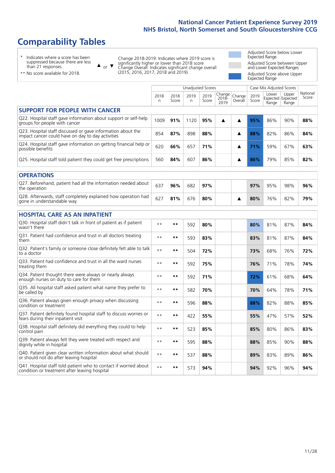# **Comparability Tables**

\* Indicates where a score has been suppressed because there are less than 21 responses.

\*\* No score available for 2018.

 $\triangle$  or  $\nabla$ 

Change 2018-2019: Indicates where 2019 score is significantly higher or lower than 2018 score Change Overall: Indicates significant change overall (2015, 2016, 2017, 2018 and 2019).

Adjusted Score below Lower Expected Range Adjusted Score between Upper and Lower Expected Ranges Adjusted Score above Upper Expected Range

|                                                                                                                   |              |               | <b>Unadjusted Scores</b> |               |                            |                   |               | Case Mix Adjusted Scores            |                |                   |
|-------------------------------------------------------------------------------------------------------------------|--------------|---------------|--------------------------|---------------|----------------------------|-------------------|---------------|-------------------------------------|----------------|-------------------|
|                                                                                                                   | 2018<br>n    | 2018<br>Score | 2019<br>n.               | 2019<br>Score | Change<br>$2018 -$<br>2019 | Change<br>Overall | 2019<br>Score | Lower<br>Expected Expected<br>Range | Upper<br>Range | National<br>Score |
| <b>SUPPORT FOR PEOPLE WITH CANCER</b>                                                                             |              |               |                          |               |                            |                   |               |                                     |                |                   |
| Q22. Hospital staff gave information about support or self-help<br>groups for people with cancer                  | 1009         | 91%           | 1120                     | 95%           | ▲                          | ▲                 | 95%           | 86%                                 | 90%            | 88%               |
| Q23. Hospital staff discussed or gave information about the<br>impact cancer could have on day to day activities  | 854          | 87%           | 898                      | 88%           |                            | ▲                 | 88%           | 82%                                 | 86%            | 84%               |
| Q24. Hospital staff gave information on getting financial help or<br>possible benefits                            | 620          | 66%           | 657                      | 71%           |                            | ▲                 | 71%           | 59%                                 | 67%            | 63%               |
| Q25. Hospital staff told patient they could get free prescriptions                                                | 560          | 84%           | 607                      | 86%           |                            | ▲                 | 86%           | 79%                                 | 85%            | 82%               |
| <b>OPERATIONS</b>                                                                                                 |              |               |                          |               |                            |                   |               |                                     |                |                   |
| Q27. Beforehand, patient had all the information needed about<br>the operation                                    | 637          | 96%           | 682                      | 97%           |                            |                   | 97%           | 95%                                 | 98%            | 96%               |
| Q28. Afterwards, staff completely explained how operation had<br>gone in understandable way                       | 627          | 81%           | 676                      | 80%           |                            | ▲                 | 80%           | 76%                                 | 82%            | 79%               |
| <b>HOSPITAL CARE AS AN INPATIENT</b>                                                                              |              |               |                          |               |                            |                   |               |                                     |                |                   |
| Q30. Hospital staff didn't talk in front of patient as if patient<br>wasn't there                                 | $* *$        | **            | 592                      | 80%           |                            |                   | 80%           | 81%                                 | 87%            | 84%               |
| Q31. Patient had confidence and trust in all doctors treating<br>them                                             | $* *$        | $***$         | 593                      | 83%           |                            |                   | 83%           | 81%                                 | 87%            | 84%               |
| Q32. Patient's family or someone close definitely felt able to talk<br>to a doctor                                | $\star\star$ | **            | 504                      | 72%           |                            |                   | 73%           | 68%                                 | 76%            | 72%               |
| Q33. Patient had confidence and trust in all the ward nurses<br>treating them                                     | $* *$        | **            | 592                      | 75%           |                            |                   | 76%           | 71%                                 | 78%            | 74%               |
| Q34. Patient thought there were always or nearly always<br>enough nurses on duty to care for them                 | $\star\star$ | **            | 592                      | 71%           |                            |                   | 72%           | 61%                                 | 68%            | 64%               |
| Q35. All hospital staff asked patient what name they prefer to<br>be called by                                    | $**$         | **            | 582                      | 70%           |                            |                   | 70%           | 64%                                 | 78%            | 71%               |
| Q36. Patient always given enough privacy when discussing<br>condition or treatment                                | $* *$        | **            | 596                      | 88%           |                            |                   | 88%           | 82%                                 | 88%            | 85%               |
| Q37. Patient definitely found hospital staff to discuss worries or<br>fears during their inpatient visit          | $**$         | **            | 422                      | 55%           |                            |                   | 55%           | 47%                                 | 57%            | 52%               |
| Q38. Hospital staff definitely did everything they could to help<br>control pain                                  | $\star\star$ | $***$         | 523                      | 85%           |                            |                   | 85%           | 80%                                 | 86%            | 83%               |
| Q39. Patient always felt they were treated with respect and<br>dignity while in hospital                          | $**$         | **            | 595                      | 88%           |                            |                   | 88%           | 85%                                 | 90%            | 88%               |
| Q40. Patient given clear written information about what should<br>or should not do after leaving hospital         | $**$         | **            | 537                      | 88%           |                            |                   | 89%           | 83%                                 | 89%            | 86%               |
| Q41. Hospital staff told patient who to contact if worried about<br>condition or treatment after leaving hospital | $**$         | **            | 573                      | 94%           |                            |                   | 94%           | 92%                                 | 96%            | 94%               |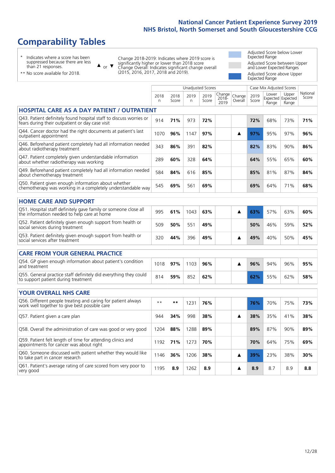# **Comparability Tables**

\* Indicates where a score has been suppressed because there are less than 21 responses.

\*\* No score available for 2018.

 $\triangle$  or  $\nabla$ 

Change 2018-2019: Indicates where 2019 score is significantly higher or lower than 2018 score Change Overall: Indicates significant change overall (2015, 2016, 2017, 2018 and 2019).

Adjusted Score below Lower Expected Range Adjusted Score between Upper and Lower Expected Ranges Adjusted Score above Upper Expected Range

|                                                                                                                       |           |               | Unadjusted Scores |               |                            |                   |               | Case Mix Adjusted Scores |                                     |                   |
|-----------------------------------------------------------------------------------------------------------------------|-----------|---------------|-------------------|---------------|----------------------------|-------------------|---------------|--------------------------|-------------------------------------|-------------------|
|                                                                                                                       | 2018<br>n | 2018<br>Score | 2019<br>n         | 2019<br>Score | Change<br>$2018 -$<br>2019 | Change<br>Overall | 2019<br>Score | Lower<br>Range           | Upper<br>Expected Expected<br>Range | National<br>Score |
| <b>HOSPITAL CARE AS A DAY PATIENT / OUTPATIENT</b>                                                                    |           |               |                   |               |                            |                   |               |                          |                                     |                   |
| Q43. Patient definitely found hospital staff to discuss worries or<br>fears during their outpatient or day case visit | 914       | 71%           | 973               | 72%           |                            |                   | 72%           | 68%                      | 73%                                 | 71%               |
| Q44. Cancer doctor had the right documents at patient's last<br>outpatient appointment                                | 1070      | 96%           | 1147              | 97%           |                            | ▲                 | 97%           | 95%                      | 97%                                 | 96%               |
| Q46. Beforehand patient completely had all information needed<br>about radiotherapy treatment                         | 343       | 86%           | 391               | 82%           |                            |                   | 82%           | 83%                      | 90%                                 | 86%               |
| Q47. Patient completely given understandable information<br>about whether radiotherapy was working                    | 289       | 60%           | 328               | 64%           |                            |                   | 64%           | 55%                      | 65%                                 | 60%               |
| Q49. Beforehand patient completely had all information needed<br>about chemotherapy treatment                         | 584       | 84%           | 616               | 85%           |                            |                   | 85%           | 81%                      | 87%                                 | 84%               |
| Q50. Patient given enough information about whether<br>chemotherapy was working in a completely understandable way    | 545       | 69%           | 561               | 69%           |                            |                   | 69%           | 64%                      | 71%                                 | 68%               |
| <b>HOME CARE AND SUPPORT</b>                                                                                          |           |               |                   |               |                            |                   |               |                          |                                     |                   |
| Q51. Hospital staff definitely gave family or someone close all<br>the information needed to help care at home        | 995       | 61%           | 1043              | 63%           |                            | ▲                 | 63%           | 57%                      | 63%                                 | 60%               |
| Q52. Patient definitely given enough support from health or<br>social services during treatment                       | 509       | 50%           | 551               | 49%           |                            |                   | 50%           | 46%                      | 59%                                 | 52%               |
| Q53. Patient definitely given enough support from health or<br>social services after treatment                        | 320       | 44%           | 396               | 49%           |                            | ▲                 | 49%           | 40%                      | 50%                                 | 45%               |
| <b>CARE FROM YOUR GENERAL PRACTICE</b>                                                                                |           |               |                   |               |                            |                   |               |                          |                                     |                   |
| Q54. GP given enough information about patient's condition<br>and treatment                                           | 1018      | 97%           | 1103              | 96%           |                            | ▲                 | 96%           | 94%                      | 96%                                 | 95%               |
| Q55. General practice staff definitely did everything they could<br>to support patient during treatment               | 814       | 59%           | 852               | 62%           |                            |                   | 62%           | 55%                      | 62%                                 | 58%               |
| <b>YOUR OVERALL NHS CARE</b>                                                                                          |           |               |                   |               |                            |                   |               |                          |                                     |                   |
| Q56. Different people treating and caring for patient always<br>work well together to give best possible care         | $* *$     | $***$         | 1231              | 76%           |                            |                   | 76%           | 70%                      | 75%                                 | 73%               |
| Q57. Patient given a care plan                                                                                        | 944       | 34%           | 998               | 38%           |                            | ▲                 | 38%           | 35%                      | 41%                                 | 38%               |
| Q58. Overall the administration of care was good or very good                                                         | 1204      | 88%           | 1288              | 89%           |                            |                   | 89%           | 87%                      | 90%                                 | 89%               |
| Q59. Patient felt length of time for attending clinics and<br>appointments for cancer was about right                 | 1192      | 71%           | 1273              | 70%           |                            |                   | 70%           | 64%                      | 75%                                 | 69%               |
| Q60. Someone discussed with patient whether they would like<br>to take part in cancer research                        | 1146      | 36%           | 1206              | 38%           |                            | ▲                 | 39%           | 23%                      | 38%                                 | 30%               |
| Q61. Patient's average rating of care scored from very poor to<br>very good                                           | 1195      | 8.9           | 1262              | 8.9           |                            | ▲                 | 8.9           | 8.7                      | 8.9                                 | 8.8               |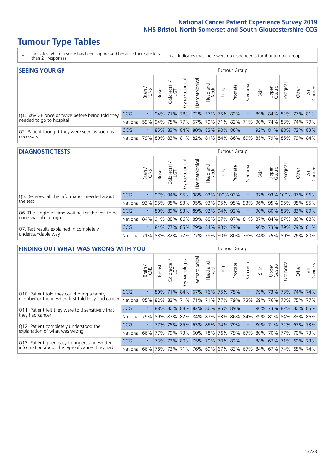# **Tumour Type Tables**

- \* Indicates where a score has been suppressed because there are less than 21 responses.
- n.a. Indicates that there were no respondents for that tumour group.

| <b>SEEING YOUR GP</b>                           |                                                                  |              |               |                             |                |                    |                  |      | Tumour Group        |         |      |                 |                                                         |       |                |
|-------------------------------------------------|------------------------------------------------------------------|--------------|---------------|-----------------------------|----------------|--------------------|------------------|------|---------------------|---------|------|-----------------|---------------------------------------------------------|-------|----------------|
|                                                 |                                                                  | Brain<br>CNS | <b>Breast</b> | Colorectal<br>LGT           | Gynaecological | శ్ర<br>Haematologi | Head and<br>Neck | Dung | Prostate            | Sarcoma | Skin | Upper<br>Gastro | Jrological                                              | Other | All<br>Cancers |
| Q1. Saw GP once or twice before being told they | <b>CCG</b>                                                       | $\star$      |               | $94\%$ 71%                  |                |                    |                  |      | 78% 72% 77% 75% 82% |         |      |                 | 89% 84% 82% 77% 81%                                     |       |                |
| needed to go to hospital                        | National 59% 94% 75% 77% 67% 79% 71% 82% 71% 90% 74% 83% 74% 79% |              |               |                             |                |                    |                  |      |                     |         |      |                 |                                                         |       |                |
| Q2. Patient thought they were seen as soon as   | <b>CCG</b>                                                       | $\star$      |               | 85% 83% 84% 80% 83% 90% 86% |                |                    |                  |      |                     |         |      |                 | 92% 81% 88% 72% 83%                                     |       |                |
| necessary                                       | National                                                         |              |               |                             |                |                    |                  |      |                     |         |      |                 | 79% 89% 83% 81% 82% 81% 84% 86% 69% 85% 79% 85% 79% 84% |       |                |

#### **DIAGNOSTIC TESTS** Tumour Group

|                                                   |                                                                  | Brain   | <b>Breast</b> | olorectal.<br>LGT           | $\overline{\sigma}$<br>Gynaecologic | Haematological | Head and<br>Neck | Lung                | Prostate | Sarcoma                 | Skin | Upper<br>Gastro | rological | Other                                                   | All<br>Cancers |
|---------------------------------------------------|------------------------------------------------------------------|---------|---------------|-----------------------------|-------------------------------------|----------------|------------------|---------------------|----------|-------------------------|------|-----------------|-----------|---------------------------------------------------------|----------------|
| Q5. Received all the information needed about     | CCG                                                              | $\star$ | 97%           | 94%                         | 95%                                 |                |                  | 98% 92% 100% 93%    |          |                         |      |                 |           | 97% 93% 100% 97% 96%                                    |                |
| the test                                          | National                                                         | 93%     |               | 95% 95%                     |                                     |                |                  |                     |          | 93% 95% 93% 95% 95% 93% | 96%  | 95%             |           | 95% 95% 95%                                             |                |
| Q6. The length of time waiting for the test to be | <b>CCG</b>                                                       | $\star$ |               | 89% 89%                     |                                     |                |                  | 93% 89% 92% 94% 92% |          |                         | 90%  |                 |           | 80% 88% 83% 89%                                         |                |
| done was about right                              | National I                                                       |         |               |                             |                                     |                |                  |                     |          |                         |      |                 |           | 84% 91% 88% 86% 89% 88% 87% 87% 81% 87% 84% 87% 86% 88% |                |
| Q7. Test results explained in completely          | <b>CCG</b>                                                       | $\star$ |               | 84% 77% 85% 79% 84% 83% 79% |                                     |                |                  |                     |          | $\star$                 | 90%  |                 |           | 73%   79%   79%   81%                                   |                |
| understandable way                                | National 71% 83% 82% 77% 77% 79% 80% 80% 78% 84% 75% 80% 76% 80% |         |               |                             |                                     |                |                  |                     |          |                         |      |                 |           |                                                         |                |

| <b>FINDING OUT WHAT WAS WRONG WITH YOU</b>        |            |         |               |                       |                |                                               |                  |                 | <b>Tumour Group</b> |         |      |                             |            |                     |                |
|---------------------------------------------------|------------|---------|---------------|-----------------------|----------------|-----------------------------------------------|------------------|-----------------|---------------------|---------|------|-----------------------------|------------|---------------------|----------------|
|                                                   |            | Brain   | <b>Breast</b> | olorectal<br>LGT<br>Ō | Gynaecological | aematologica<br>ェ                             | Head and<br>Neck | Lung            | Prostate            | Sarcoma | Skin | Upper<br>Gastro             | Urological | Other               | All<br>Cancers |
| Q10. Patient told they could bring a family       | <b>CCG</b> | $\star$ | 80%           | 71%                   | 84%            | 67%                                           |                  | 76% 75% 75%     |                     | $\star$ | 79%  | 73%                         | 73%        | 74%                 | 74%            |
| member or friend when first told they had cancer  | National   | 85%     | 82%           | 82%                   | 71%            | 71%                                           | 71%              | 77% 79%         |                     | 73%     | 69%  | 76%                         | 73%        | 75%                 | 77%            |
| Q11. Patient felt they were told sensitively that | CCG        | $\star$ |               | 88% 80%               | 88%            |                                               |                  | 82% 86% 85% 89% |                     | $\ast$  | 96%  | 73%                         |            | 82% 80% 85%         |                |
| they had cancer                                   | National   | 79%     |               |                       |                | 89%   87%   82%   84%   87%   83%   86%   84% |                  |                 |                     |         |      |                             |            | 89% 81% 84% 83% 86% |                |
| Q12. Patient completely understood the            | <b>CCG</b> | $\star$ | 77%           | 75%                   | 85%            |                                               |                  | 63% 86% 74%     | 79%                 | $\star$ | 80%  | 71%                         |            | 72% 67% 73%         |                |
| explanation of what was wrong                     | National   |         | 66% 77%       | 79%                   | 73%            |                                               |                  | 60% 78% 76% 79% |                     | 67%     |      | 80% 70%                     | 77%        |                     | 70% 73%        |
| Q13. Patient given easy to understand written     | CCG        | $\ast$  | 73%           | 73%                   | 80%            |                                               |                  | 75% 79% 70% 82% |                     | $\star$ |      | 88% 67%                     | 71%        | 60%                 | 73%            |
| information about the type of cancer they had     | National   | $66\%$  | 78%           | 73%                   | 71%            |                                               |                  |                 |                     |         |      | 76% 69% 67% 83% 67% 84% 67% | 74%        | 65%                 | 74%            |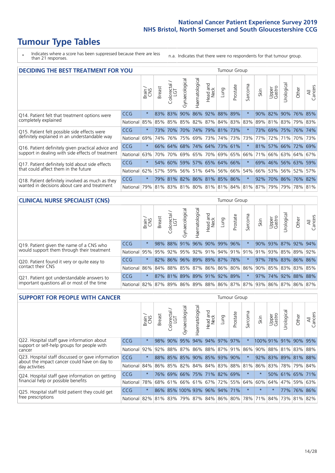# **Tumour Type Tables**

\* Indicates where a score has been suppressed because there are less than 21 responses.

n.a. Indicates that there were no respondents for that tumour group.

| <b>DECIDING THE BEST TREATMENT FOR YOU</b>         |            |         |               |            |                |                |                         |                             | Tumour Group |                                 |      |                 |                     |         |                |
|----------------------------------------------------|------------|---------|---------------|------------|----------------|----------------|-------------------------|-----------------------------|--------------|---------------------------------|------|-----------------|---------------------|---------|----------------|
|                                                    |            | Brain   | <b>Breast</b> | Colorectal | Gynaecological | Haematological | aad and<br>Neck<br>Head | Lung                        | Prostate     | Sarcoma                         | Skin | Upper<br>Gastro | Urological          | Other   | All<br>Cancers |
| Q14. Patient felt that treatment options were      | <b>CCG</b> | $\star$ | 83%           | 83%        | 90%            |                |                         | 86% 92% 88%                 | 89%          | $\star$                         | 90%  | 82%             | 90%                 | 76%     | 85%            |
| completely explained                               | National   | 85%     | 85%           | 85%        | 85%            | 82% 87%        |                         |                             | 84% 83%      | 83%                             | 89%  | 81%             | 83%                 | 79% 83% |                |
| Q15. Patient felt possible side effects were       | CCG        | $\star$ | 73%           | 70%        | 70%            |                |                         | 74% 79% 81% 73%             |              |                                 | 73%  | 69%             | 75% 76% 74%         |         |                |
| definitely explained in an understandable way      | National   | 69%     | 74%           | 76%        | 75%            | 69%            | 73%                     |                             | 74% 73%      | 73%                             | 77%  | 72%             | 71%                 | 70% 73% |                |
| Q16. Patient definitely given practical advice and | CCG        | $\star$ |               | 66% 64%    |                |                |                         | 68% 74% 64% 73% 61%         |              | $\ast$                          |      |                 | 81% 57% 66% 72% 69% |         |                |
| support in dealing with side effects of treatment  | National   | 63%     | 70%           | 70%        |                |                |                         | 69% 65% 70% 69% 65%         |              | 66%                             | 71%  |                 | 66% 63% 64% 67%     |         |                |
| Q17. Patient definitely told about side effects    | CCG        | $\star$ |               | 54% 60%    |                |                |                         | 59% 57% 65% 64% 66%         |              | $^\star$                        | 69%  |                 | 46% 56% 63% 59%     |         |                |
| that could affect them in the future               | National   | 62%     | 57%           | 59%        |                |                |                         | 56% 51% 64% 56% 66%         |              | 54%                             | 66%  | 53%             |                     | 56% 52% | 57%            |
| Q18. Patient definitely involved as much as they   | CCG        | $\star$ |               |            |                |                |                         | 79% 81% 82% 86% 81% 85% 86% |              | $\ast$                          | 92%  |                 | 70% 86% 76% 82%     |         |                |
| wanted in decisions about care and treatment       | National   | 79%     |               |            |                |                |                         |                             |              | 81% 83% 81% 80% 81% 81% 84% 81% | 87%  | 79%             |                     | 79% 78% | 81%            |

#### **CLINICAL NURSE SPECIALIST (CNS)** Tumour Group

|                                             |            | Brain<br>CNS | <b>Breast</b> | Colorectal<br>LGT | Gynaecologic                | ᠊ᢛ<br>Ü<br>aematologi | Head and<br>Neck | Lung | Prostate | Sarcoma | Skin | Upper<br>Gastro                                                             | ᅲ<br>Irologica | Other   | All<br>Cancers |
|---------------------------------------------|------------|--------------|---------------|-------------------|-----------------------------|-----------------------|------------------|------|----------|---------|------|-----------------------------------------------------------------------------|----------------|---------|----------------|
| Q19. Patient given the name of a CNS who    | <b>CCG</b> | $\star$      |               |                   | 98% 88% 91%                 |                       | 96% 90% 99% 96%  |      |          |         |      | 90% 93%                                                                     |                | 87% 92% | 94%            |
| would support them through their treatment  | National   |              |               |                   |                             |                       |                  |      |          |         |      | 95% 95% 92% 95% 92% 91% 94% 91% 91% 91% 93% 85% 89%                         |                |         | 92%            |
| Q20. Patient found it very or quite easy to | <b>CCG</b> | $\star$      |               |                   | 82% 86% 96% 89% 89% 87% 78% |                       |                  |      |          | $\star$ |      | 97% 78% 83% 86% 86%                                                         |                |         |                |
| contact their CNS                           | National   |              |               |                   |                             |                       |                  |      |          |         |      | 86% 84% 88% 85% 87% 86% 86% 80% 86% 90% 85% 83% 83% 85%                     |                |         |                |
| Q21. Patient got understandable answers to  | CCG        | $\star$      |               | 87% 81%           | 89%                         |                       | 89% 91% 92% 89%  |      |          | $\star$ | 97%  | 74% 92%                                                                     |                |         | 88% 88%        |
| important questions all or most of the time | National   |              |               |                   |                             |                       |                  |      |          |         |      | 82%   87%   89%   86%   89%   88%   86%   87%   87%   93%   86%   87%   86% |                |         | 87%            |

| <b>SUPPORT FOR PEOPLE WITH CANCER</b>                                                             |            |         |                             |                        |                                     |                |                        |                     | Tumour Group |          |                         |                 |           |                 |                 |
|---------------------------------------------------------------------------------------------------|------------|---------|-----------------------------|------------------------|-------------------------------------|----------------|------------------------|---------------------|--------------|----------|-------------------------|-----------------|-----------|-----------------|-----------------|
|                                                                                                   |            | Brain   | <b>Breast</b>               | olorectal.<br>LGT<br>Ũ | $\overline{\sigma}$<br>Gynaecologic | Haematological | ad and<br>Neck<br>Head | Lung                | Prostate     | Sarcoma  | Skin                    | Upper<br>Gastro | Jrologica | Other           | All<br>Cancers  |
| Q22. Hospital staff gave information about<br>support or self-help groups for people with         | <b>CCG</b> | $\star$ | 98%                         | 90%                    | 95%                                 |                |                        | 94% 94% 97%         | 97%          | $\star$  |                         | 100% 91%        | 91%       | $90\%$          | 95%             |
| cancer                                                                                            | National   | 92%     | 92%                         | 88%                    |                                     |                |                        | 87% 86% 88% 87% 91% |              | 86%      | 90%                     |                 |           | 88% 81% 83% 88% |                 |
| Q23. Hospital staff discussed or gave information<br>about the impact cancer could have on day to | CCG        | $\star$ |                             |                        | 88% 85% 85% 90% 85% 93% 90%         |                |                        |                     |              | $\star$  | 92%                     |                 |           |                 | 83% 89% 81% 88% |
| day activities                                                                                    | National   | 84%     | 86%                         |                        | 85%   82%   84%   84%   83%   88%   |                |                        |                     |              | 81%      | 86%                     | 83%             |           | 78% 79%         | 84%             |
| Q24. Hospital staff gave information on getting                                                   | CCG        | $\star$ | 76% l                       |                        | 69% 66% 75% 71% 82% 69%             |                |                        |                     |              | $^\star$ | $\star$                 |                 |           | 50% 61% 65% 71% |                 |
| financial help or possible benefits                                                               | National   | 78%     |                             | 68% 61%                |                                     |                |                        | 66% 61% 67% 72% 55% |              | 64%      | 60%                     | 64%             | 47%       | 59%             | 63%             |
| Q25. Hospital staff told patient they could get                                                   | <b>CCG</b> | $\star$ |                             |                        | 86% 85% 100% 93% 96% 94% 71%        |                |                        |                     |              | $^\star$ | $\star$                 | $\star$         |           | 77% 76%         | 86%             |
| free prescriptions                                                                                | National   | 82%     | 81% 83% 79% 87% 84% 86% 80% |                        |                                     |                |                        |                     |              |          | 78% 71% 84% 73% 81% 82% |                 |           |                 |                 |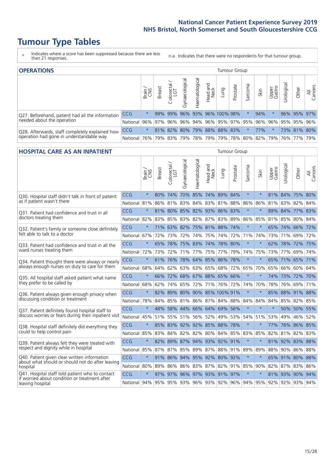# **Tumour Type Tables**

- \* Indicates where a score has been suppressed because there are less than 21 responses.
- n.a. Indicates that there were no respondents for that tumour group.

| <b>OPERATIONS</b>                                                                           |            |         |               |                       |                   |                |                  |                     | Tumour Group |         |                                                 |                 |            |             |                |  |
|---------------------------------------------------------------------------------------------|------------|---------|---------------|-----------------------|-------------------|----------------|------------------|---------------------|--------------|---------|-------------------------------------------------|-----------------|------------|-------------|----------------|--|
|                                                                                             |            | Brain   | <b>Breast</b> | olorectal<br>LGT<br>Ü | ত<br>Gynaecologic | Haematological | Head and<br>Neck | Lung                | Prostate     | Sarcoma | Skin                                            | Upper<br>Gastro | Urological | Other       | All<br>Cancers |  |
| Q27. Beforehand, patient had all the information                                            | <b>CCG</b> | $\star$ | 99%           | 99%                   | 96%               |                |                  | 93% 96% 100% 98%    |              |         | 94%                                             |                 |            | 96% 95% 97% |                |  |
| needed about the operation                                                                  | National   | 96%     | 97%           | 96%                   |                   |                |                  |                     |              |         | 96% 94% 96% 95% 97% 95% 96% 96% 95% 95% 95% 96% |                 |            |             |                |  |
| Q28. Afterwards, staff completely explained how<br>operation had gone in understandable way | <b>CCG</b> | $\star$ |               | 81% 82%               |                   |                |                  | 80% 79% 88% 88% 83% |              |         | 77%                                             | $\star$         |            | 73% 81% 80% |                |  |
|                                                                                             | National I | 76%     | 79%           | 83%                   |                   | 79% 78% 79%    |                  |                     |              |         | 79% 78% 80% 82% 79% 76% 77%                     |                 |            |             | 79%            |  |

#### **HOSPITAL CARE AS AN INPATIENT** Tumour Group

|                                                                                                   |              | Brain   | Breast | Colorectal /<br>LGT | Gynaecological              | Haematological      | Head and<br>Neck | Lung        | Prostate | Sarcoma | Skin    | Upper<br>Gastro | Urological                                          | Other       | All<br>Cancers |
|---------------------------------------------------------------------------------------------------|--------------|---------|--------|---------------------|-----------------------------|---------------------|------------------|-------------|----------|---------|---------|-----------------|-----------------------------------------------------|-------------|----------------|
| Q30. Hospital staff didn't talk in front of patient                                               | CCG          | $\star$ | 80%    | 74%                 |                             | 70% 85% 74% 89% 84% |                  |             |          | $\star$ | $\star$ |                 | 81% 84% 75% 80%                                     |             |                |
| as if patient wasn't there                                                                        | National     | 81%     |        | 86% 81%             | 83%                         | 84%                 |                  | 83% 81%     | 88%      | 86%     | 86%     |                 | 81% 83%                                             | 82%         | 84%            |
| Q31. Patient had confidence and trust in all<br>doctors treating them                             | CCG          | $\star$ |        | 81% 80%             |                             | 85% 82% 93% 86% 83% |                  |             |          | $\star$ | $\star$ | 89%             | 84%                                                 | 77% 83%     |                |
|                                                                                                   | National     | 82%     |        |                     | 83% 85% 83% 82% 87% 83% 89% |                     |                  |             |          | 86%     | 85%     |                 | 81% 85% 80% 84%                                     |             |                |
| Q32. Patient's family or someone close definitely                                                 | CCG          | $\star$ |        |                     | 71% 63% 82% 75% 81% 88%     |                     |                  |             | 74%      | $\star$ |         |                 | 65% 74% 66% 72%                                     |             |                |
| felt able to talk to a doctor                                                                     | National     | 67%     | 72%    | 73%                 |                             | 72% 74%             |                  | 75% 74%     | 72%      | 71%     | 74%     |                 | 73% 71%                                             | 69% 72%     |                |
| Q33. Patient had confidence and trust in all the                                                  | CCG          | $\star$ |        |                     | 65% 78% 75% 83% 74% 78% 80% |                     |                  |             |          | $\star$ | $\ast$  |                 | 62% 78% 72% 75%                                     |             |                |
| ward nurses treating them                                                                         | National     | 72%     | 73%    | 72%                 | 71%                         | 77%                 | 75%              | 77%         | 79%      | 74%     | 75%     | 73%             | 77%                                                 | 69%         | 74%            |
| Q34. Patient thought there were always or nearly<br>always enough nurses on duty to care for them | CCG          | $\star$ | 61%    | 76%                 | 78%                         |                     | 64% 85% 86%      |             | 78%      | $\star$ | $\star$ | 65%             | 71% 65%                                             |             | 71%            |
|                                                                                                   | National     | 68%     | 64%    | 62%                 | 63%                         | 63%                 | 65%              | 68%         | 72%      | 65%     | 70%     | 65%             | 66%                                                 | 60%         | 64%            |
| Q35. All hospital staff asked patient what name                                                   | CCG          | $\star$ |        | 66% 72%             |                             | 68% 67% 88% 65% 66% |                  |             |          | $\star$ | $\star$ |                 | 74% 73% 72% 70%                                     |             |                |
| they prefer to be called by                                                                       | National     | 68%     | 62%    |                     | 74% 65%                     | 72%                 |                  | 71% 76% 72% |          | 74%     | 70%     | 78%             | 76%                                                 | 69%         | 71%            |
| Q36. Patient always given enough privacy when                                                     | CCG          | $\star$ | 82%    |                     | 89% 80% 90% 85% 100% 91%    |                     |                  |             |          | $\star$ | $\star$ | 85%             |                                                     | 88% 91% 88% |                |
| discussing condition or treatment                                                                 | National     | 78%     |        |                     | 84% 85% 81% 86% 87% 84% 88% |                     |                  |             |          | 84%     | 84%     | 84%             |                                                     | 85% 82% 85% |                |
| Q37. Patient definitely found hospital staff to                                                   | <b>CCG</b>   | $\star$ | 48%    | 58%                 |                             | 44% 66% 64% 69%     |                  |             | 56%      | $\star$ | $\star$ | $\star$         |                                                     | 50% 50%     | 55%            |
| discuss worries or fears during their inpatient visit                                             | National     | 45%     |        |                     | 51% 55% 51% 56% 52% 49% 53% |                     |                  |             |          |         | 54% 51% | 53%             | 49%                                                 | 46% 52%     |                |
| Q38. Hospital staff definitely did everything they                                                | CCG          | $\star$ |        |                     | 85% 83% 92% 92% 85% 88% 78% |                     |                  |             |          | $\star$ | $\star$ | 77%             |                                                     | 78% 86% 85% |                |
| could to help control pain                                                                        | National     | 85%     | 83%    | 84%                 | 82%                         |                     |                  | 82% 80% 84% | 85%      | 83%     | 85%     | 82%             |                                                     | 81% 82% 83% |                |
| Q39. Patient always felt they were treated with                                                   | CCG          | $\star$ | 82%    |                     | 89% 87% 94% 93% 92% 91%     |                     |                  |             |          | $\star$ | $\star$ |                 | 81% 92% 83% 88%                                     |             |                |
| respect and dignity while in hospital                                                             | National     | 85%     |        |                     | 87% 87% 85% 89% 87% 88% 91% |                     |                  |             |          | 89%     | 89%     |                 | 88% 90% 86% 88%                                     |             |                |
| Q40. Patient given clear written information<br>about what should or should not do after leaving  | CCG          | $\star$ |        | 91% 86%             |                             | 94% 95% 92% 80%     |                  |             | 92%      | $\star$ | $\star$ |                 | 65% 91% 80% 88%                                     |             |                |
| hospital                                                                                          | National 80% |         | 89%    |                     | 86% 86% 83% 87% 82%         |                     |                  |             | 91%      | 85%     | 90%     |                 | 82% 87% 83% 86%                                     |             |                |
| Q41. Hospital staff told patient who to contact<br>if worried about condition or treatment after  | CCG          | $\star$ | 97%    |                     | 97% 96% 97% 93% 91% 97%     |                     |                  |             |          | $\star$ | $\star$ |                 | 81% 93% 90% 94%                                     |             |                |
| leaving hospital                                                                                  | National     | 94%     |        |                     |                             |                     |                  |             |          |         |         |                 | 95% 95% 93% 96% 93% 92% 96% 94% 95% 92% 92% 93% 94% |             |                |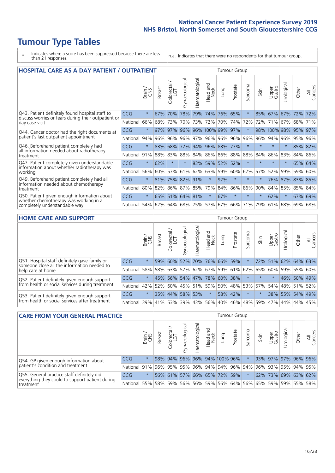# **Tumour Type Tables**

- \* Indicates where a score has been suppressed because there are less than 21 responses.
- n.a. Indicates that there were no respondents for that tumour group.

| <b>HOSPITAL CARE AS A DAY PATIENT / OUTPATIENT</b>                                                                    |            |         |        |                                   |                |                |                         |         |          |         | <b>Tumour Group</b> |                 |            |         |                |  |  |  |  |  |
|-----------------------------------------------------------------------------------------------------------------------|------------|---------|--------|-----------------------------------|----------------|----------------|-------------------------|---------|----------|---------|---------------------|-----------------|------------|---------|----------------|--|--|--|--|--|
|                                                                                                                       |            | Brain   | Breast | ∽<br>olorectal /<br>LGT<br>$\cup$ | Gynaecological | Haematological | ead and<br>Neck<br>Head | Lung    | Prostate | Sarcoma | Skin                | Upper<br>Gastro | Urological | Other   | All<br>Cancers |  |  |  |  |  |
| Q43. Patient definitely found hospital staff to                                                                       | CCG        | $\star$ | 67%    | 70%                               | 78%            | 79%            | 74%                     | 76%     | 65%      | $\ast$  | 85%                 | 67%             | 67%        | 72%     | 72%            |  |  |  |  |  |
| discuss worries or fears during their outpatient or<br>day case visit                                                 | National   | 66%     | 68%    | 73%                               | 70%            | 73%            | 72%                     | 70%     | 74%      | 72%     | 72%                 | 71%             | 67%        | 68%     | 71%            |  |  |  |  |  |
| Q44. Cancer doctor had the right documents at<br>patient's last outpatient appointment                                | <b>CCG</b> | $\star$ | 97%    | 97%                               | 96%            |                | 96% 100% 99%            |         | 97%      | $\star$ |                     | 98% 100% 98%    |            | 95%     | 97%            |  |  |  |  |  |
|                                                                                                                       | National   | 94%     | 96%    | 96%                               | 96%            | 97%            |                         | 96% 96% | 96%      | 96%     | 96%                 |                 | 94% 96%    | 95%     | 96%            |  |  |  |  |  |
| Q46. Beforehand patient completely had                                                                                | <b>CCG</b> | $\star$ | 83%    | 68%                               |                |                | 77% 94% 96% 83% 77%     |         |          | $\star$ | $\star$             | $\star$         | $\star$    | 85% 82% |                |  |  |  |  |  |
| all information needed about radiotherapy<br>treatment                                                                | National   | 91%     | 88%    | 83%                               | 88%            |                | 84% 86% 86%             |         | 88%      | 88%     | 84%                 | 86%             | 83%        | 84%     | 86%            |  |  |  |  |  |
| Q47. Patient completely given understandable                                                                          | CCG        | $\star$ | 62%    |                                   |                | 83%            | 59%                     | 52%     | 52%      | $\star$ |                     |                 | $\star$    | 65%     | 64%            |  |  |  |  |  |
| information about whether radiotherapy was<br>working                                                                 | National   | 56%     | 60%    | 57%                               | 61%            | 62%            | 63%                     | 59%     | 60%      | 67%     | 57%                 | 52%             | 59%        | 59%     | 60%            |  |  |  |  |  |
| Q49. Beforehand patient completely had all                                                                            | CCG        | $\star$ | 81%    |                                   | 75% 82%        | 91%            | $\star$                 | 92%     | $\star$  | $\star$ |                     |                 | 76% 87%    | 83% 85% |                |  |  |  |  |  |
| information needed about chemotherapy<br>treatment                                                                    | National   | 80%     | 82%    |                                   | 86% 87%        | 85%            | 79%                     | 84%     | 86%      | 86%     | 90%                 |                 | 84% 85%    | 85% 84% |                |  |  |  |  |  |
| Q50. Patient given enough information about<br>whether chemotherapy was working in a<br>completely understandable way | <b>CCG</b> | $\star$ | 65%    | 51%                               | 64%            | 81%            | $\star$                 | 67%     | $\star$  | $\star$ | $\star$             | 62%             | $\star$    | 67%     | 69%            |  |  |  |  |  |
|                                                                                                                       | National   | 54%     | 62%    | 64%                               | 68%            | 75%            |                         | 57% 67% | 66%      | 71%     | 79%                 | 61%             | 68%        | 69%     | 68%            |  |  |  |  |  |

#### **HOME CARE AND SUPPORT** Tumour Group

|                                                                                                                   |                      | Brain   | <b>Breast</b> | Colorectal<br>LGT | $\overline{\sigma}$<br>Gynaecologic | Haematological | Head and<br>Neck | <b>Lung</b>                 | Prostate | Sarcoma | Skin                                                    | Upper<br>Gastro | rological | Other                 | All<br>Cancers |
|-------------------------------------------------------------------------------------------------------------------|----------------------|---------|---------------|-------------------|-------------------------------------|----------------|------------------|-----------------------------|----------|---------|---------------------------------------------------------|-----------------|-----------|-----------------------|----------------|
|                                                                                                                   |                      |         |               |                   |                                     |                |                  |                             |          |         |                                                         |                 |           |                       |                |
| Q51. Hospital staff definitely gave family or<br>someone close all the information needed to<br>help care at home | <b>CCG</b>           | $\star$ | 59%           | 60%               |                                     |                |                  | 52% 70% 76% 66% 59%         |          |         | 72%                                                     |                 |           | 51% 62% 64% 63%       |                |
|                                                                                                                   | National             | 58%     |               | 58% 63%           |                                     |                |                  |                             |          |         | 57% 62% 67% 59% 61% 62% 65%                             |                 |           | 60%   59%   55%   60% |                |
| Q52. Patient definitely given enough support                                                                      | <b>CCG</b>           | $\star$ |               |                   |                                     |                |                  | 45% 56% 54% 47% 78% 60% 38% |          |         | $\star$                                                 | $\star$         |           | 46% 50% 49%           |                |
| from health or social services during treatment                                                                   | National             |         |               |                   |                                     |                |                  |                             |          |         | 42% 52% 60% 45% 51% 59% 50% 48% 53% 57% 54% 48% 51% 52% |                 |           |                       |                |
| Q53. Patient definitely given enough support<br>from health or social services after treatment                    | <b>CCG</b>           | $\star$ |               | 35% 44%           |                                     | 58% 53%        | $\star$          |                             | 58% 42%  |         |                                                         |                 |           | 38% 55% 54% 49%       |                |
|                                                                                                                   | National 39% 41% 53% |         |               |                   |                                     |                |                  | 39% 43% 56% 40% 46%         |          |         | 48% 59%                                                 | 47%             | 44%       | 44%                   | 45%            |

| <b>CARE FROM YOUR GENERAL PRACTICE</b>                                                                     |              |         |               |                   |                          |                |                  |                                                         | <b>Tumour Group</b> |         |      |                     |                       |       |                |  |  |  |
|------------------------------------------------------------------------------------------------------------|--------------|---------|---------------|-------------------|--------------------------|----------------|------------------|---------------------------------------------------------|---------------------|---------|------|---------------------|-----------------------|-------|----------------|--|--|--|
|                                                                                                            |              | Brain   | <b>Breast</b> | Colorectal<br>LGT | $\sigma$<br>Gynaecologic | Haematological | Head and<br>Neck | Lung                                                    | Prostate            | Sarcoma | Skin | Upper<br>Gastro     | $\sigma$<br>Urologica | Other | All<br>Cancers |  |  |  |
| Q54. GP given enough information about                                                                     | <b>CCG</b>   | $\star$ |               |                   |                          |                |                  | 98% 94% 96% 96% 94% 100% 96%                            |                     |         |      | 93% 97% 97% 96% 96% |                       |       |                |  |  |  |
| patient's condition and treatment                                                                          | National 91% |         |               |                   |                          |                |                  | 96% 95% 95% 96% 94% 94% 96% 94% 96% 93% 93% 95% 94% 95% |                     |         |      |                     |                       |       |                |  |  |  |
| Q55. General practice staff definitely did<br>everything they could to support patient during<br>treatment | <b>CCG</b>   | $\star$ |               |                   |                          |                |                  | 56% 61% 57% 66% 65% 72% 59%                             |                     | $\star$ |      | 62% 73% 69% 63% 62% |                       |       |                |  |  |  |
|                                                                                                            | National     | 55%     |               | 58% 59%           |                          |                |                  | 56% 56% 59% 56% 64% 56% 65% 59% 59% 55% 58%             |                     |         |      |                     |                       |       |                |  |  |  |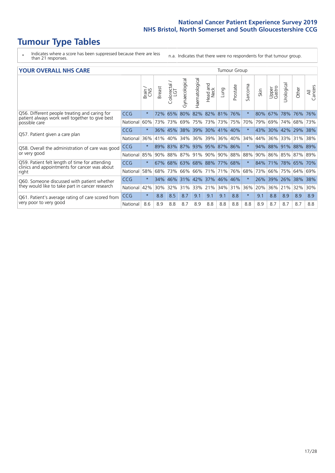## **Tumour Type Tables**

- \* Indicates where a score has been suppressed because there are less than 21 responses.
- n.a. Indicates that there were no respondents for that tumour group.

| <b>YOUR OVERALL NHS CARE</b>                                                                                     |          |              |        |                            |                             |                     |                        |         | <b>Tumour Group</b> |         |      |                 |            |                 |                |  |  |  |  |
|------------------------------------------------------------------------------------------------------------------|----------|--------------|--------|----------------------------|-----------------------------|---------------------|------------------------|---------|---------------------|---------|------|-----------------|------------|-----------------|----------------|--|--|--|--|
|                                                                                                                  |          | Brain<br>CNS | Breast | $\frac{1}{2}$ Colorectal / | Gynaecological              | Haematological      | ad and<br>Neck<br>Head | Lung    | Prostate            | Sarcoma | Skin | Upper<br>Gastro | Jrological | Other           | All<br>Cancers |  |  |  |  |
| Q56. Different people treating and caring for<br>patient always work well together to give best<br>possible care | CCG      | $\star$      |        | 72% 65%                    | 80%                         |                     | 82% 82% 81%            |         | 76%                 | $\star$ | 80%  | 67%             | 78% 76%    |                 | 76%            |  |  |  |  |
|                                                                                                                  | National | 60%          | 73%    | 73%                        | 69%                         | 75%                 | 73%                    | 73%     | 75%                 | 70%     | 79%  | 69%             | 74%        | 68%             | 73%            |  |  |  |  |
|                                                                                                                  | CCG      | $\star$      |        | 36% 45%                    |                             | 38% 39% 30% 41% 40% |                        |         |                     | $\star$ | 43%  | 30% 42% 29%     |            |                 | 38%            |  |  |  |  |
| Q57. Patient given a care plan                                                                                   | National | 36%          | 41%    | 40%                        | 34%                         | 36%                 |                        | 39% 36% | 40%                 | 34%     | 44%  | $36\%$          | 33% 31%    |                 | 38%            |  |  |  |  |
| Q58. Overall the administration of care was good                                                                 | CCG      | $\star$      |        | 89% 83%                    | 87% 93% 95% 87% 86%         |                     |                        |         |                     | $\star$ |      | 94% 88% 91% 88% |            |                 | 89%            |  |  |  |  |
| or very good                                                                                                     | National | 85%          |        | 90% 88%                    | 87% 91% 90% 90% 88%         |                     |                        |         |                     | 88%     |      |                 |            | 90% 86% 85% 87% | 89%            |  |  |  |  |
| Q59. Patient felt length of time for attending                                                                   | CCG      | $\star$      |        |                            | 67% 68% 63% 68% 88% 77% 68% |                     |                        |         |                     | $\star$ | 84%  | 71% 78% 65%     |            |                 | 70%            |  |  |  |  |
| clinics and appointments for cancer was about<br>right                                                           | National | 58%          | 68%    | 73%                        | 66% 66% 71%                 |                     |                        | 71% 76% |                     | 68%     | 73%  | 66%             | 75% 64%    |                 | 69%            |  |  |  |  |
| Q60. Someone discussed with patient whether                                                                      | CCG      | $\star$      | 34%    |                            | 46% 31% 42% 37% 46% 46%     |                     |                        |         |                     | $\star$ | 26%  | 39%             | 26% 38%    |                 | 38%            |  |  |  |  |
| they would like to take part in cancer research                                                                  | National | 42%          | 30%    | 32%                        | 31%                         | 33%                 | 21%                    | 34% 31% |                     | 36%     | 20%  | 36%             | 21%        | 32%             | 30%            |  |  |  |  |
| Q61. Patient's average rating of care scored from<br>very poor to very good                                      | CCG      | $\star$      | 8.8    | 8.5                        | 8.7                         | 9.1                 | 9.1                    | 9.1     | 8.8                 | $\star$ | 9.1  | 8.8             | 8.9        | 8.9             | 8.9            |  |  |  |  |
|                                                                                                                  | National | 8.6          | 8.9    | 8.8                        | 8.7                         | 8.9                 | 8.8                    | 8.8     | 8.8                 | 8.8     | 8.9  | 8.7             | 8.7        | 8.7             | 8.8            |  |  |  |  |
|                                                                                                                  |          |              |        |                            |                             |                     |                        |         |                     |         |      |                 |            |                 |                |  |  |  |  |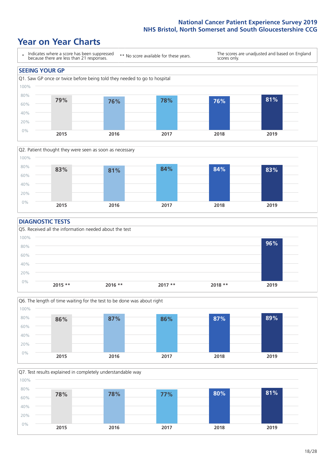### **Year on Year Charts**





#### **DIAGNOSTIC TESTS**





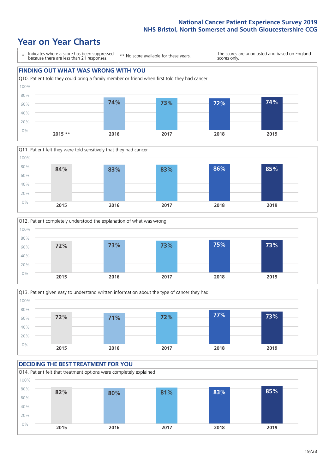### **Year on Year Charts**









#### **DECIDING THE BEST TREATMENT FOR YOU** Q14. Patient felt that treatment options were completely explained 0% 20% 40% 60% 80% 100% **2015 2016 2017 2018 2019 82% 80% 81% 83% 85%**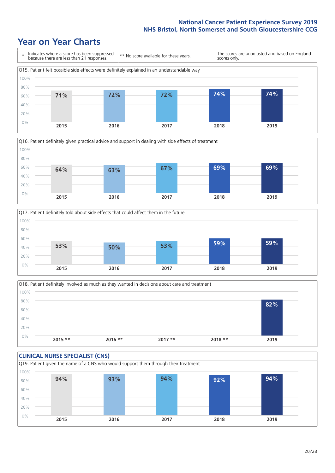### **Year on Year Charts**







Q18. Patient definitely involved as much as they wanted in decisions about care and treatment  $0%$ 20% 40% 60% 80% 100% **2015 \*\* 2016 \*\* 2017 \*\* 2018 \*\* 2019 82%**

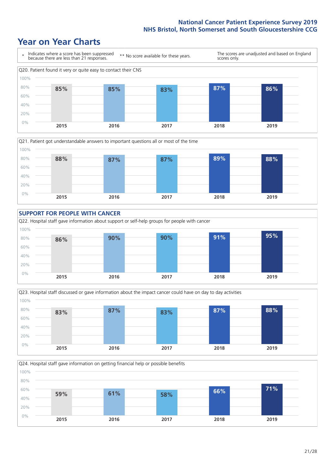### **Year on Year Charts**









Q24. Hospital staff gave information on getting financial help or possible benefits 0% 20% 40% 60% 80% 100% **2015 2016 2017 2018 2019 59% 61% 58% 66% 71%**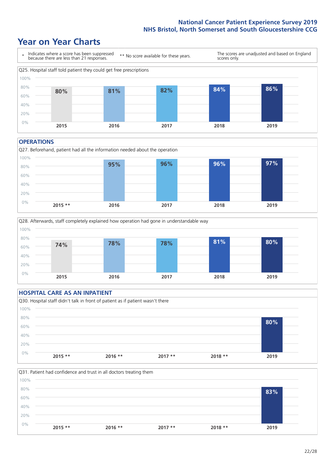### **Year on Year Charts**



#### **OPERATIONS**





#### **HOSPITAL CARE AS AN INPATIENT** Q30. Hospital staff didn't talk in front of patient as if patient wasn't there 0% 20% 40% 60% 80% 100% **2015 \*\* 2016 \*\* 2017 \*\* 2018 \*\* 2019 80%**

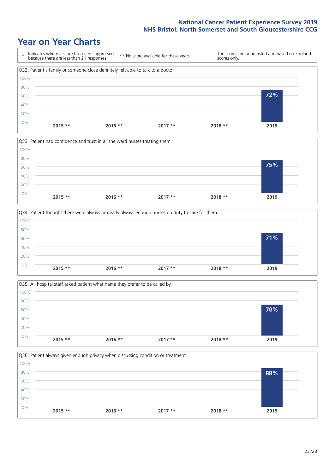### **Year on Year Charts**









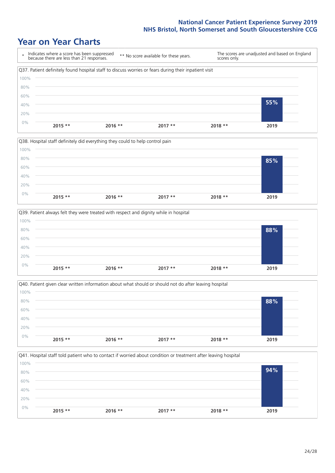### **Year on Year Charts**









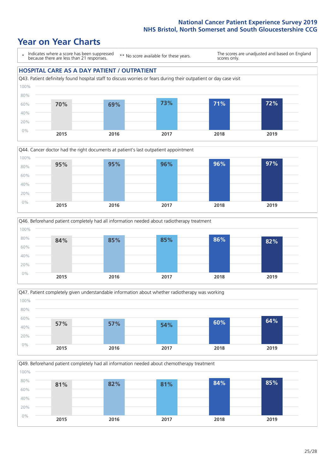### **Year on Year Charts**

\* Indicates where a score has been suppressed because there are less than 21 responses. \*\* No score available for these years. The scores are unadjusted and based on England scores only. **HOSPITAL CARE AS A DAY PATIENT / OUTPATIENT**









Q49. Beforehand patient completely had all information needed about chemotherapy treatment 0% 20% 40% 60% 80% 100% **2015 2016 2017 2018 2019 81% 82% 81% 84% 85%**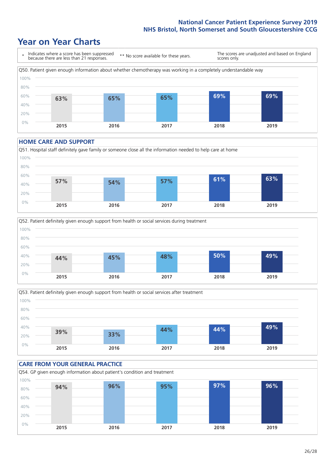### **Year on Year Charts**



#### **HOME CARE AND SUPPORT**







#### **CARE FROM YOUR GENERAL PRACTICE** Q54. GP given enough information about patient's condition and treatment 0% 20% 40% 60% 80% 100% **2015 2016 2017 2018 2019 94% 96% 95% 97% 96%**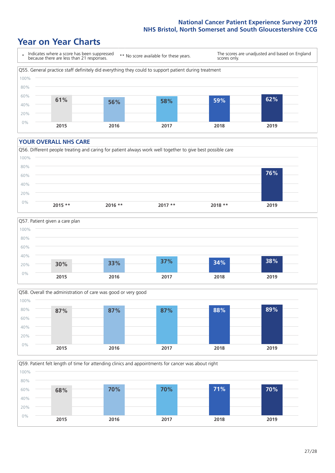### **Year on Year Charts**



#### **YOUR OVERALL NHS CARE**

0% 20%







**2015 2016 2017 2018 2019**

Q59. Patient felt length of time for attending clinics and appointments for cancer was about right 40% 60% 80% 100% **68% 70% 70% 71% 70%**